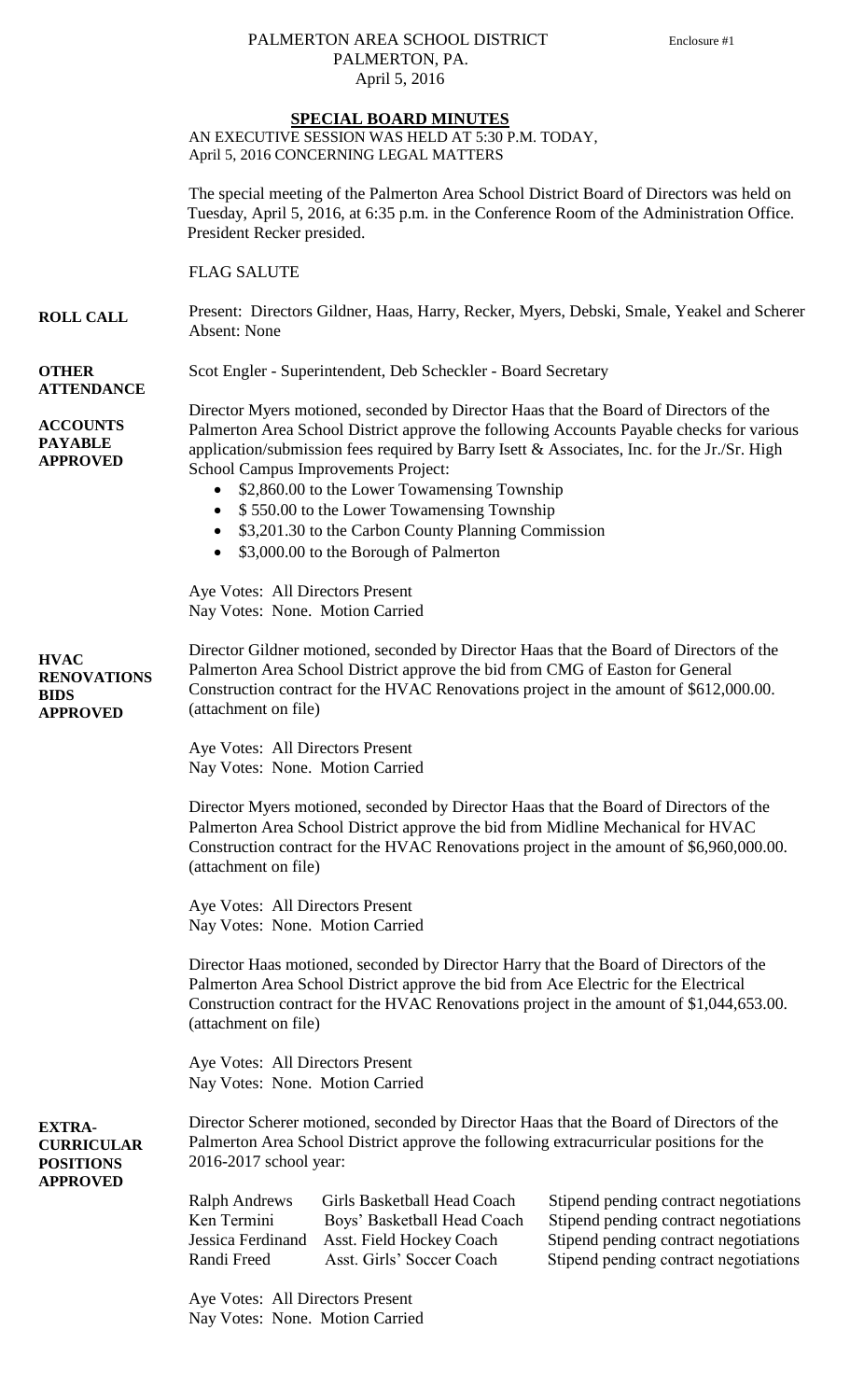## PALMERTON AREA SCHOOL DISTRICT Enclosure #1 PALMERTON, PA. April 5, 2016

AN EXECUTIVE SESSION WAS HELD AT 5:30 P.M. TODAY, April 5, 2016 CONCERNING LEGAL MATTERS

The special meeting of the Palmerton Area School District Board of Directors was held on Tuesday, April 5, 2016, at 6:35 p.m. in the Conference Room of the Administration Office. President Recker presided.

FLAG SALUTE

**ROLL CALL** Present: Directors Gildner, Haas, Harry, Recker, Myers, Debski, Smale, Yeakel and Scherer Absent: None

**OTHER ATTENDANCE**

**ACCOUNTS PAYABLE APPROVED**

**EXTRA-**

**POSITIONS APPROVED** Director Myers motioned, seconded by Director Haas that the Board of Directors of the Palmerton Area School District approve the following Accounts Payable checks for various application/submission fees required by Barry Isett & Associates, Inc. for the Jr./Sr. High School Campus Improvements Project:

• \$2,860.00 to the Lower Towamensing Township

Scot Engler - Superintendent, Deb Scheckler - Board Secretary

- \$550.00 to the Lower Towamensing Township
- \$3,201.30 to the Carbon County Planning Commission
- \$3,000.00 to the Borough of Palmerton

Aye Votes: All Directors Present Nay Votes: None. Motion Carried

**HVAC RENOVATIONS BIDS APPROVED** Director Gildner motioned, seconded by Director Haas that the Board of Directors of the Palmerton Area School District approve the bid from CMG of Easton for General Construction contract for the HVAC Renovations project in the amount of \$612,000.00. (attachment on file)

> Aye Votes: All Directors Present Nay Votes: None. Motion Carried

Director Myers motioned, seconded by Director Haas that the Board of Directors of the Palmerton Area School District approve the bid from Midline Mechanical for HVAC Construction contract for the HVAC Renovations project in the amount of \$6,960,000.00. (attachment on file)

Aye Votes: All Directors Present Nay Votes: None. Motion Carried

Director Haas motioned, seconded by Director Harry that the Board of Directors of the Palmerton Area School District approve the bid from Ace Electric for the Electrical Construction contract for the HVAC Renovations project in the amount of \$1,044,653.00. (attachment on file)

Aye Votes: All Directors Present Nay Votes: None. Motion Carried

**CURRICULAR**  Director Scherer motioned, seconded by Director Haas that the Board of Directors of the Palmerton Area School District approve the following extracurricular positions for the 2016-2017 school year:

| <b>Ralph Andrews</b> | Girls Basketball Head Coach | Sti |
|----------------------|-----------------------------|-----|
| Ken Termini          | Boys' Basketball Head Coach | Sti |
| Jessica Ferdinand    | Asst. Field Hockey Coach    | Sti |
| Randi Freed          | Asst. Girls' Soccer Coach   | Sti |
|                      |                             |     |

Aye Votes: All Directors Present Nay Votes: None. Motion Carried pend pending contract negotiations pend pending contract negotiations pend pending contract negotiations pend pending contract negotiations